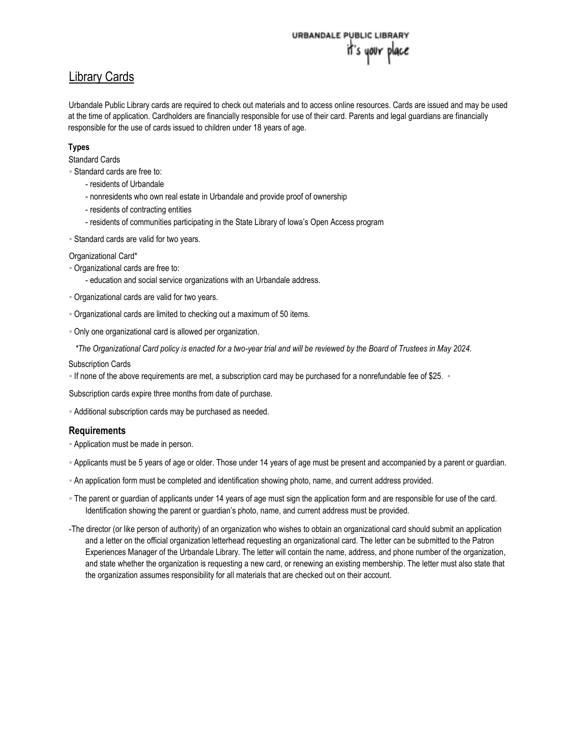# URBANDALE PUBLIC LIBRAR it's your place

# Library Cards

Urbandale Public Library cards are required to check out materials and to access online resources. Cards are issued and may be used at the time of application. Cardholders are financially responsible for use of their card. Parents and legal guardians are financially responsible for the use of cards issued to children under 18 years of age.

## **Types**

Standard Cards

▪ Standard cards are free to:

- residents of Urbandale
- nonresidents who own real estate in Urbandale and provide proof of ownership
- residents of contracting entities
- residents of communities participating in the State Library of Iowa's Open Access program

**- Standard cards are valid for two years.** 

Organizational Card\*

- Organizational cards are free to:
	- education and social service organizations with an Urbandale address.
- Organizational cards are valid for two years.
- Organizational cards are limited to checking out a maximum of 50 items.
- Only one organizational card is allowed per organization.

 *\*The Organizational Card policy is enacted for a two-year trial and will be reviewed by the Board of Trustees in May 2024.*

#### Subscription Cards

▪ If none of the above requirements are met, a subscription card may be purchased for a nonrefundable fee of \$25. ▪

Subscription cards expire three months from date of purchase.

- Additional subscription cards may be purchased as needed.

## **Requirements**

- **Application must be made in person.**
- Applicants must be 5 years of age or older. Those under 14 years of age must be present and accompanied by a parent or guardian.
- An application form must be completed and identification showing photo, name, and current address provided.
- The parent or guardian of applicants under 14 years of age must sign the application form and are responsible for use of the card. Identification showing the parent or guardian's photo, name, and current address must be provided.
- -The director (or like person of authority) of an organization who wishes to obtain an organizational card should submit an application and a letter on the official organization letterhead requesting an organizational card. The letter can be submitted to the Patron Experiences Manager of the Urbandale Library. The letter will contain the name, address, and phone number of the organization, and state whether the organization is requesting a new card, or renewing an existing membership. The letter must also state that the organization assumes responsibility for all materials that are checked out on their account.